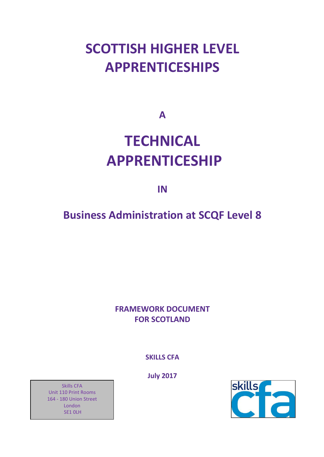# **SCOTTISH HIGHER LEVEL APPRENTICESHIPS**

**A**

# **TECHNICAL APPRENTICESHIP**

**IN**

# **Business Administration at SCQF Level 8**

## **FRAMEWORK DOCUMENT FOR SCOTLAND**

**SKILLS CFA**

**July 2017**

skills

Skills CFA Unit 110 Print Rooms 164 - 180 Union Street London SE1 0LH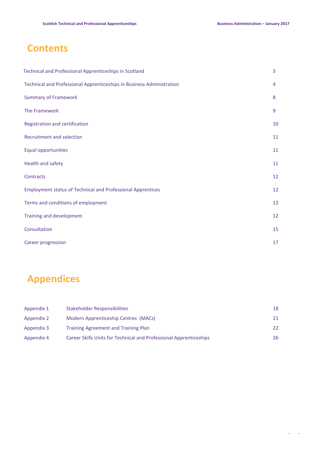# **Contents**

| <b>Technical and Professional Apprenticeships in Scotland</b>         | 3  |
|-----------------------------------------------------------------------|----|
| Technical and Professional Apprenticeships in Business Administration | 4  |
| <b>Summary of Framework</b>                                           | 8  |
| The Framework                                                         | 9  |
| Registration and certification                                        | 10 |
| Recruitment and selection                                             | 11 |
| Equal opportunities                                                   | 11 |
| Health and safety                                                     | 11 |
| Contracts                                                             | 12 |
| <b>Employment status of Technical and Professional Apprentices</b>    | 12 |
| Terms and conditions of employment                                    | 12 |
| Training and development                                              | 12 |
| Consultation                                                          | 15 |
| Career progression                                                    | 17 |

# **Appendices**

| Appendix 1 | <b>Stakeholder Responsibilities</b>                                | 18  |
|------------|--------------------------------------------------------------------|-----|
| Appendix 2 | Modern Apprenticeship Centres (MACs)                               | 21. |
| Appendix 3 | <b>Training Agreement and Training Plan</b>                        | 22. |
| Appendix 4 | Career Skills Units for Technical and Professional Apprenticeships | 26  |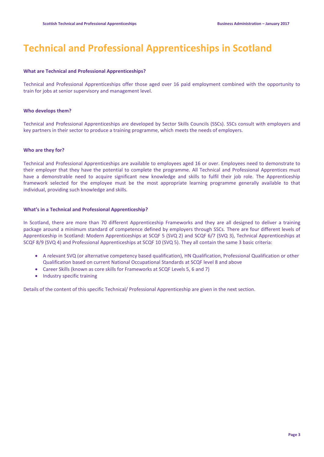# **Technical and Professional Apprenticeships in Scotland**

#### **What are Technical and Professional Apprenticeships?**

Technical and Professional Apprenticeships offer those aged over 16 paid employment combined with the opportunity to train for jobs at senior supervisory and management level.

#### **Who develops them?**

Technical and Professional Apprenticeships are developed by Sector Skills Councils (SSCs). SSCs consult with employers and key partners in their sector to produce a training programme, which meets the needs of employers.

#### **Who are they for?**

Technical and Professional Apprenticeships are available to employees aged 16 or over. Employees need to demonstrate to their employer that they have the potential to complete the programme. All Technical and Professional Apprentices must have a demonstrable need to acquire significant new knowledge and skills to fulfil their job role. The Apprenticeship framework selected for the employee must be the most appropriate learning programme generally available to that individual, providing such knowledge and skills.

#### **What's in a Technical and Professional Apprenticeship?**

In Scotland, there are more than 70 different Apprenticeship Frameworks and they are all designed to deliver a training package around a minimum standard of competence defined by employers through SSCs. There are four different levels of Apprenticeship in Scotland: Modern Apprenticeships at SCQF 5 (SVQ 2) and SCQF 6/7 (SVQ 3), Technical Apprenticeships at SCQF 8/9 (SVQ 4) and Professional Apprenticeships at SCQF 10 (SVQ 5). They all contain the same 3 basic criteria:

- A relevant SVQ (or alternative competency based qualification), HN Qualification, Professional Qualification or other Qualification based on current National Occupational Standards at SCQF level 8 and above
- Career Skills (known as core skills for Frameworks at SCQF Levels 5, 6 and 7)
- Industry specific training

Details of the content of this specific Technical/ Professional Apprenticeship are given in the next section.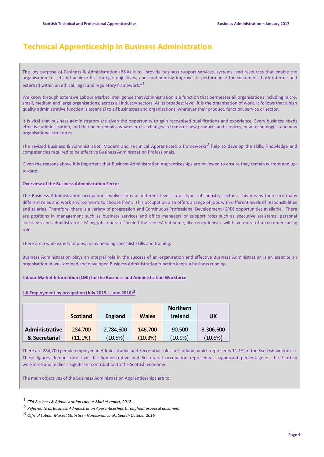## **Technical Apprenticeship in Business Administration**

The key purpose of Business & Administration (B&A) is to "provide business support services, systems, and resources that enable the organisation to set and achieve its strategic objectives, and continuously improve its performance for customers (both internal and external) within an ethical, legal and regulatory framework."<sup>1</sup>

We know through extensive Labour Market Intelligence that Administration is a function that permeates all organisations including micro, small, medium and large organisations, across all industry sectors. At its broadest level, it is the organisation of work. It follows that a high quality administrative function is essential to all businesses and organisations, whatever their product, function, service or sector.

It is vital that business administrators are given the opportunity to gain recognised qualifications and experience. Every business needs effective administration, and that need remains whatever else changes in terms of new products and services, new technologies and new organisational structures.

The revised Business & Administration Modern and Technical Apprenticeship frameworks<sup>2</sup> help to develop the skills, knowledge and competencies required to be effective Business Administration Professionals.

Given the reasons above it is important that Business Administration Apprenticeships are reviewed to ensure they remain current and upto-date.

#### **Overview of the Business Administration Sector**

The Business Administration occupation involves jobs at different levels in all types of industry sectors. This means there are many different roles and work environments to choose from. This occupation also offers a range of jobs with different levels of responsibilities and salaries. Therefore, there is a variety of progression and Continuous Professional Development (CPD) opportunities available. There are positions in management such as business services and office managers or support roles such as executive assistants, personal assistants and administrators. Many jobs operate 'behind the scenes' but some, like receptionists, will have more of a customer facing role.

There are a wide variety of jobs, many needing specialist skills and training.

Business Administration plays an integral role in the success of an organisation and effective Business Administration is an asset to an organisation. A well-defined and developed Business Administration function keeps a business running.

**Labour Market Information (LMI) for the Business and Administration Workforce**

#### **UK Employment by occupation (July 2015 – June 2016)3**

|                | <b>Scotland</b> | <b>England</b> | <b>Wales</b> | <b>Northern</b><br><b>Ireland</b> | UK        |
|----------------|-----------------|----------------|--------------|-----------------------------------|-----------|
| Administrative | 284,700         | 2,784,600      | 146,700      | 90,500                            | 3,306,600 |
| & Secretarial  | $'11.1\%$       | (10.5%)        | (10.3%)      | 10.9%                             | (10.6%)   |

There are 284,700 people employed in Administrative and Secretarial roles in Scotland, which represents 11.1% of the Scottish workforce. These figures demonstrate that the Administrative and Secretarial occupation represents a significant percentage of the Scottish workforce and makes a significant contribution to the Scottish economy.

The main objectives of the Business Administration Apprenticeships are to:

 $\overline{a}$ 

<sup>1</sup> *CFA Business & Administration Labour Market report, 2012*

<sup>2</sup> *Referred to as Business Administration Apprenticeships throughout proposal document*

<sup>3</sup> *Official Labour Market Statistics - Nomisweb.co.uk, Search October 2016*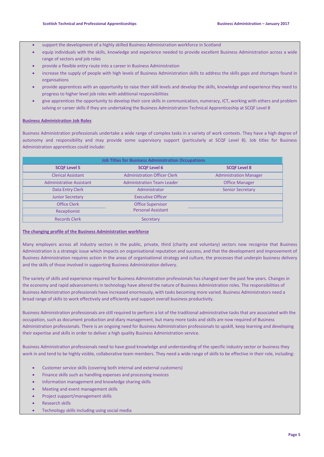- support the development of a highly skilled Business Administration workforce in Scotland
- equip individuals with the skills, knowledge and experience needed to provide excellent Business Administration across a wide range of sectors and job roles
- provide a flexible entry route into a career in Business Administration
- increase the supply of people with high levels of Business Administration skills to address the skills gaps and shortages found in organisations
- provide apprentices with an opportunity to raise their skill levels and develop the skills, knowledge and experience they need to progress to higher level job roles with additional responsibilities
- give apprentices the opportunity to develop their core skills in communication, numeracy, ICT, working with others and problem solving or career skills if they are undertaking the Business Administration Technical Apprenticeship at SCQF Level 8

#### **Business Administration Job Roles**

Business Administration professionals undertake a wide range of complex tasks in a variety of work contexts. They have a high degree of autonomy and responsibility and may provide some supervisory support (particularly at SCQF Level 8). Job titles for Business Administration apprentices could include:

| <b>Job Titles for Business Administration Occupations</b> |                                     |                               |  |  |  |
|-----------------------------------------------------------|-------------------------------------|-------------------------------|--|--|--|
| <b>SCQF Level 5</b>                                       | <b>SCQF Level 6</b>                 | <b>SCQF Level 8</b>           |  |  |  |
| <b>Clerical Assistant</b>                                 | <b>Administration Officer Clerk</b> | <b>Administration Manager</b> |  |  |  |
| <b>Administrative Assistant</b>                           | <b>Administration Team Leader</b>   | <b>Office Manager</b>         |  |  |  |
| Data Entry Clerk                                          | Administrator                       | <b>Senior Secretary</b>       |  |  |  |
| <b>Junior Secretary</b>                                   | <b>Executive Officer</b>            |                               |  |  |  |
| <b>Office Clerk</b>                                       | <b>Office Supervisor</b>            |                               |  |  |  |
| Receptionist                                              | <b>Personal Assistant</b>           |                               |  |  |  |
| <b>Records Clerk</b>                                      | Secretary                           |                               |  |  |  |

#### **The changing profile of the Business Administration workforce**

Many employers across all industry sectors in the public, private, third (charity and voluntary) sectors now recognise that Business Administration is a strategic issue which impacts on organisational reputation and success, and that the development and improvement of Business Administration requires action in the areas of organisational strategy and culture, the processes that underpin business delivery and the skills of those involved in supporting Business Administration delivery.

The variety of skills and experience required for Business Administration professionals has changed over the past few years. Changes in the economy and rapid advancements in technology have altered the nature of Business Administration roles. The responsibilities of Business Administration professionals have increased enormously, with tasks becoming more varied. Business Administrators need a broad range of skills to work effectively and efficiently and support overall business productivity.

Business Administration professionals are still required to perform a lot of the traditional administrative tasks that are associated with the occupation, such as document production and diary management, but many more tasks and skills are now required of Business Administration professionals. There is an ongoing need for Business Administration professionals to upskill, keep learning and developing their expertise and skills in order to deliver a high quality Business Administration service.

Business Administration professionals need to have good knowledge and understanding of the specific industry sector or business they work in and tend to be highly visible, collaborative team members. They need a wide range of skills to be effective in their role, including:

- Customer service skills (covering both internal and external customers)
- Finance skills such as handling expenses and processing invoices
- Information management and knowledge sharing skills
- Meeting and event management skills
- Project support/management skills
- **•** Research skills
- Technology skills including using social media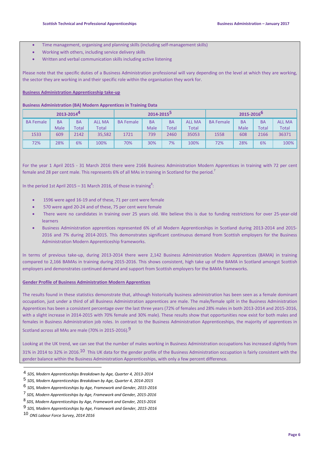- Time management, organising and planning skills (including self-management skills)
- Working with others, including service delivery skills
- Written and verbal communication skills including active listening

Please note that the specific duties of a Business Administration professional will vary depending on the level at which they are working, the sector they are working in and their specific role within the organisation they work for.

#### **Business Administration Apprenticeship take-up**

#### **Business Administration (BA) Modern Apprentices in Training Data**

|                  | 2013-20144 |           |               | 2014-2015 <sup>5</sup> |           |           |               | 2015-2016 <sup>b</sup> |           |              |               |
|------------------|------------|-----------|---------------|------------------------|-----------|-----------|---------------|------------------------|-----------|--------------|---------------|
| <b>BA Female</b> | <b>BA</b>  | <b>BA</b> | <b>ALL MA</b> | <b>BA Female</b>       | <b>BA</b> | <b>BA</b> | <b>ALL MA</b> | <b>BA Female</b>       | <b>BA</b> | <b>BA</b>    | <b>ALL MA</b> |
|                  | Male       | Total     | <b>Total</b>  |                        | Male      | Total     | <b>Total</b>  |                        | Male      | <b>Total</b> | <b>Total</b>  |
| 1533             | 609        | 2142      | 35,582        | 1721                   | 739       | 2460      | 35053         | 1558                   | 608       | 2166         | 36371         |
| 72%              | 28%        | 6%        | 100%          | 70%                    | 30%       | 7%        | 100%          | 72%                    | 28%       | 6%           | 100%          |

For the year 1 April 2015 - 31 March 2016 there were 2166 Business Administration Modern Apprentices in training with 72 per cent female and 28 per cent male. This represents 6% of all MAs in training in Scotland for the period.<sup>7</sup>

In the period 1st April 2015 – 31 March 2016, of those in training<sup>8</sup>:

- 1596 were aged 16-19 and of these, 71 per cent were female
- 570 were aged 20-24 and of these, 75 per cent were female
- There were no candidates in training over 25 years old. We believe this is due to funding restrictions for over 25-year-old learners
- Business Administration apprentices represented 6% of all Modern Apprenticeships in Scotland during 2013-2014 and 2015- 2016 and 7% during 2014-2015. This demonstrates significant continuous demand from Scottish employers for the Business Administration Modern Apprenticeship frameworks.

In terms of previous take-up, during 2013-2014 there were 2,142 Business Administration Modern Apprentices (BAMA) in training compared to 2,166 BAMAs in training during 2015-2016. This shows consistent, high take up of the BAMA in Scotland amongst Scottish employers and demonstrates continued demand and support from Scottish employers for the BAMA frameworks.

#### **Gender Profile of Business Administration Modern Apprentices**

The results found in these statistics demonstrate that, although historically business administration has been seen as a female dominant occupation, just under a third of all Business Administration apprentices are male. The male/female split in the Business Administration Apprentices has been a consistent percentage over the last three years (72% of females and 28% males in both 2013-2014 and 2015-2016, with a slight increase in 2014-2015 with 70% female and 30% male). These results show that opportunities now exist for both males and females in Business Administration job roles. In contrast to the Business Administration Apprenticeships, the majority of apprentices in Scotland across all MAs are male (70% in 2015-2016).9

Looking at the UK trend, we can see that the number of males working in Business Administration occupations has increased slightly from 31% in 2014 to 32% in 2016.<sup>10</sup> This UK data for the gender profile of the Business Administration occupation is fairly consistent with the gender balance within the Business Administration Apprenticeships, with only a few percent difference.

l

<sup>4</sup> *SDS, Modern Apprenticeships Breakdown by Age, Quarter 4, 2013-2014*

<sup>5</sup> *SDS, Modern Apprenticeships Breakdown by Age, Quarter 4, 2014-2015*

<sup>6</sup> *SDS, Modern Apprenticeships by Age, Framework and Gender, 2015-2016*

<sup>7</sup> *SDS, Modern Apprenticeships by Age, Framework and Gender, 2015-2016*

<sup>8</sup> *SDS, Modern Apprenticeships by Age, Framework and Gender, 2015-2016*

<sup>9</sup> *SDS, Modern Apprenticeships by Age, Framework and Gender, 2015-2016*

<sup>10</sup> *ONS Labour Force Survey, 2014 2016*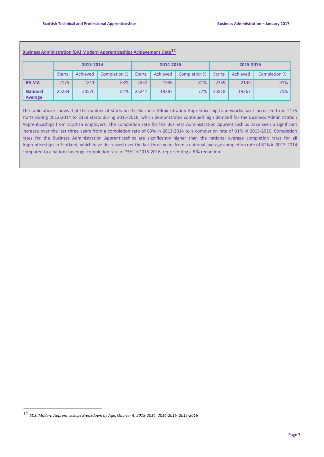|                            | 2013-2014     |          |              | 2014-2015     |          |              | 2015-2016     |          |              |
|----------------------------|---------------|----------|--------------|---------------|----------|--------------|---------------|----------|--------------|
|                            | <b>Starts</b> | Achieved | Completion % | <b>Starts</b> | Achieved | Completion % | <b>Starts</b> | Achieved | Completion % |
| <b>BAMA</b>                | 2175          | 1811     | 83%          | 2451          | 1986     | 81%          | 2359          | 2145     | 91%          |
| <b>National</b><br>Average | 25284         | 20576    | 81%          | 25247         | 19387    | 77%          | 25818         | 19367    | 75%          |

#### **Business Administration (BA) Modern Apprenticeships Achievement Data11**

The table above shows that the number of starts on the Business Administration Apprenticeship frameworks have increased from 2175 starts during 2013-2014 to 2359 starts during 2015-2016, which demonstrates continued high demand for the Business Administration Apprenticeships from Scottish employers. The completion rate for the Business Administration Apprenticeships have seen a significant increase over the last three years from a completion rate of 83% in 2013-2014 to a completion rate of 91% in 2015-2016. Completion rates for the Business Administration Apprenticeships are significantly higher than the national average completion rates for all Apprenticeships in Scotland, which have decreased over the last three years from a national average completion rate of 81% in 2013-2014 compared to a national average completion rate of 75% in 2015-2016, representing a 6 % reduction.

 $\overline{a}$ 

<sup>11</sup> *SDS, Modern Apprenticeships Breakdown by Age, Quarter 4, 2013-2014, 2014-2016, 2015-2016*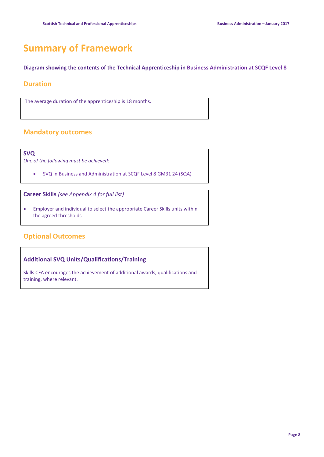# **Summary of Framework**

**Diagram showing the contents of the Technical Apprenticeship in Business Administration at SCQF Level 8**

#### **Duration**

The average duration of the apprenticeship is 18 months.

## **Mandatory outcomes**

**SVQ**

*One of the following must be achieved:*

SVQ in Business and Administration at SCQF Level 8 GM31 24 (SQA)

**Career Skills** *(see Appendix 4 for full list)*

 Employer and individual to select the appropriate Career Skills units within the agreed thresholds

## **Optional Outcomes**

#### **Additional SVQ Units/Qualifications/Training**

Skills CFA encourages the achievement of additional awards, qualifications and training, where relevant.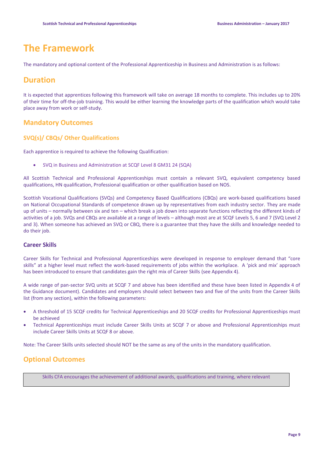## **The Framework**

The mandatory and optional content of the Professional Apprenticeship in Business and Administration is as follows:

## **Duration**

It is expected that apprentices following this framework will take on average 18 months to complete. This includes up to 20% of their time for off-the-job training. This would be either learning the knowledge parts of the qualification which would take place away from work or self-study.

### **Mandatory Outcomes**

#### **SVQ(s)/ CBQs/ Other Qualifications**

Each apprentice is required to achieve the following Qualification:

SVQ in Business and Administration at SCQF Level 8 GM31 24 (SQA)

All Scottish Technical and Professional Apprenticeships must contain a relevant SVQ, equivalent competency based qualifications, HN qualification, Professional qualification or other qualification based on NOS.

Scottish Vocational Qualifications (SVQs) and Competency Based Qualifications (CBQs) are work-based qualifications based on National Occupational Standards of competence drawn up by representatives from each industry sector. They are made up of units – normally between six and ten – which break a job down into separate functions reflecting the different kinds of activities of a job. SVQs and CBQs are available at a range of levels – although most are at SCQF Levels 5, 6 and 7 (SVQ Level 2 and 3). When someone has achieved an SVQ or CBQ, there is a guarantee that they have the skills and knowledge needed to do their job.

#### **Career Skills**

Career Skills for Technical and Professional Apprenticeships were developed in response to employer demand that "core skills" at a higher level must reflect the work-based requirements of jobs within the workplace. A 'pick and mix' approach has been introduced to ensure that candidates gain the right mix of Career Skills (see Appendix 4).

A wide range of pan-sector SVQ units at SCQF 7 and above has been identified and these have been listed in Appendix 4 of the Guidance document). Candidates and employers should select between two and five of the units from the Career Skills list (from any section), within the following parameters:

- A threshold of 15 SCQF credits for Technical Apprenticeships and 20 SCQF credits for Professional Apprenticeships must be achieved
- Technical Apprenticeships must include Career Skills Units at SCQF 7 or above and Professional Apprenticeships must include Career Skills Units at SCQF 8 or above.

Note: The Career Skills units selected should NOT be the same as any of the units in the mandatory qualification.

## **Optional Outcomes**

Skills CFA encourages the achievement of additional awards, qualifications and training, where relevant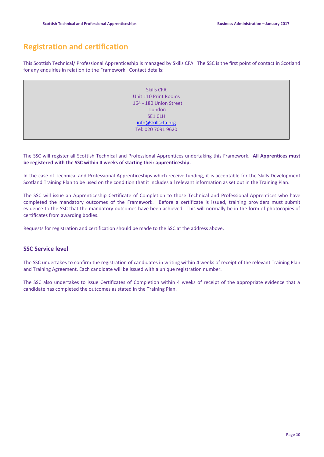## **Registration and certification**

This Scottish Technical/ Professional Apprenticeship is managed by Skills CFA. The SSC is the first point of contact in Scotland for any enquiries in relation to the Framework. Contact details:

> Skills CFA Unit 110 Print Rooms 164 - 180 Union Street London SE1 0LH [info@skillscfa.org](../BA%20Review%202016/AppData/Local/d.forbes/AppData/Local/Microsoft/Windows/Temporary%20Internet%20Files/Content.Outlook/Y95JPXPU/info@skillscfa.org) Tel: 020 7091 9620

The SSC will register all Scottish Technical and Professional Apprentices undertaking this Framework. **All Apprentices must be registered with the SSC within 4 weeks of starting their apprenticeship.**

In the case of Technical and Professional Apprenticeships which receive funding, it is acceptable for the Skills Development Scotland Training Plan to be used on the condition that it includes all relevant information as set out in the Training Plan.

The SSC will issue an Apprenticeship Certificate of Completion to those Technical and Professional Apprentices who have completed the mandatory outcomes of the Framework. Before a certificate is issued, training providers must submit evidence to the SSC that the mandatory outcomes have been achieved. This will normally be in the form of photocopies of certificates from awarding bodies.

Requests for registration and certification should be made to the SSC at the address above.

#### **SSC Service level**

The SSC undertakes to confirm the registration of candidates in writing within 4 weeks of receipt of the relevant Training Plan and Training Agreement. Each candidate will be issued with a unique registration number.

The SSC also undertakes to issue Certificates of Completion within 4 weeks of receipt of the appropriate evidence that a candidate has completed the outcomes as stated in the Training Plan.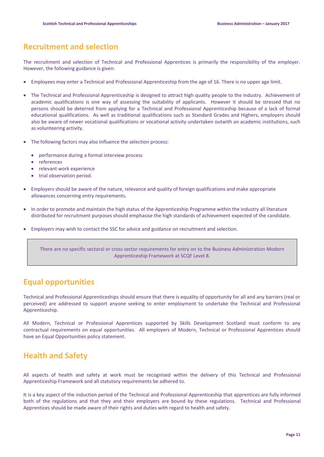## **Recruitment and selection**

The recruitment and selection of Technical and Professional Apprentices is primarily the responsibility of the employer. However, the following guidance is given:

- Employees may enter a Technical and Professional Apprenticeship from the age of 16. There is no upper age limit.
- The Technical and Professional Apprenticeship is designed to attract high quality people to the industry. Achievement of academic qualifications is one way of assessing the suitability of applicants. However it should be stressed that no persons should be deterred from applying for a Technical and Professional Apprenticeship because of a lack of formal educational qualifications. As well as traditional qualifications such as Standard Grades and Highers, employers should also be aware of newer vocational qualifications or vocational activity undertaken outwith an academic institutions, such as volunteering activity.
- The following factors may also influence the selection process:
	- performance during a formal interview process
	- references
	- relevant work experience
	- trial observation period.
- Employers should be aware of the nature, relevance and quality of foreign qualifications and make appropriate allowances concerning entry requirements.
- In order to promote and maintain the high status of the Apprenticeship Programme within the industry all literature distributed for recruitment purposes should emphasise the high standards of achievement expected of the candidate.
- Employers may wish to contact the SSC for advice and guidance on recruitment and selection.

There are no specific sectoral or cross sector requirements for entry on to the Business Administration Modern Apprenticeship Framework at SCQF Level 8.

## **Equal opportunities**

Technical and Professional Apprenticeships should ensure that there is equality of opportunity for all and any barriers (real or perceived) are addressed to support anyone seeking to enter employment to undertake the Technical and Professional Apprenticeship.

All Modern, Technical or Professional Apprentices supported by Skills Development Scotland must conform to any contractual requirements on equal opportunities. All employers of Modern, Technical or Professional Apprentices should have an Equal Opportunities policy statement.

## **Health and Safety**

All aspects of health and safety at work must be recognised within the delivery of this Technical and Professional Apprenticeship Framework and all statutory requirements be adhered to.

It is a key aspect of the induction period of the Technical and Professional Apprenticeship that apprentices are fully informed both of the regulations and that they and their employers are bound by these regulations. Technical and Professional Apprentices should be made aware of their rights and duties with regard to health and safety.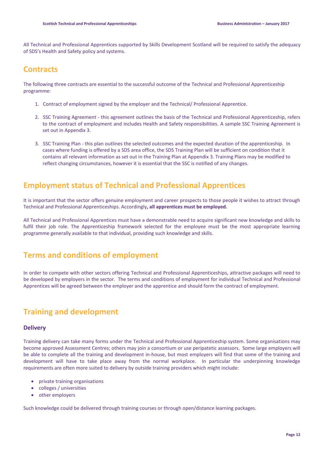All Technical and Professional Apprentices supported by Skills Development Scotland will be required to satisfy the adequacy of SDS's Health and Safety policy and systems.

## **Contracts**

The following three contracts are essential to the successful outcome of the Technical and Professional Apprenticeship programme:

- 1. Contract of employment signed by the employer and the Technical/ Professional Apprentice.
- 2. SSC Training Agreement this agreement outlines the basis of the Technical and Professional Apprenticeship, refers to the contract of employment and includes Health and Safety responsibilities. A sample SSC Training Agreement is set out in Appendix 3.
- 3. SSC Training Plan this plan outlines the selected outcomes and the expected duration of the apprenticeship. In cases where funding is offered by a SDS area office, the SDS Training Plan will be sufficient on condition that it contains all relevant information as set out in the Training Plan at Appendix 3. Training Plans may be modified to reflect changing circumstances, however it is essential that the SSC is notified of any changes.

## **Employment status of Technical and Professional Apprentices**

It is important that the sector offers genuine employment and career prospects to those people it wishes to attract through Technical and Professional Apprenticeships. Accordingly**, all apprentices must be employed.**

All Technical and Professional Apprentices must have a demonstrable need to acquire significant new knowledge and skills to fulfil their job role. The Apprenticeship framework selected for the employee must be the most appropriate learning programme generally available to that individual, providing such knowledge and skills.

## **Terms and conditions of employment**

In order to compete with other sectors offering Technical and Professional Apprenticeships, attractive packages will need to be developed by employers in the sector. The terms and conditions of employment for individual Technical and Professional Apprentices will be agreed between the employer and the apprentice and should form the contract of employment.

## **Training and development**

#### **Delivery**

Training delivery can take many forms under the Technical and Professional Apprenticeship system. Some organisations may become approved Assessment Centres; others may join a consortium or use peripatetic assessors. Some large employers will be able to complete all the training and development in-house, but most employers will find that some of the training and development will have to take place away from the normal workplace. In particular the underpinning knowledge requirements are often more suited to delivery by outside training providers which might include:

- private training organisations
- colleges / universities
- other employers

Such knowledge could be delivered through training courses or through open/distance learning packages.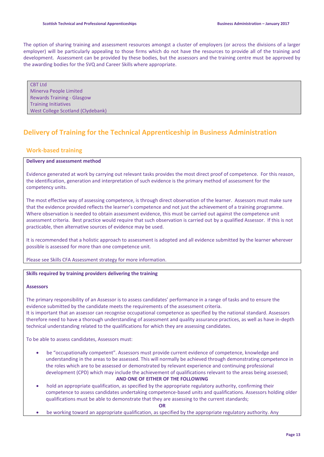The option of sharing training and assessment resources amongst a cluster of employers (or across the divisions of a larger employer) will be particularly appealing to those firms which do not have the resources to provide all of the training and development. Assessment can be provided by these bodies, but the assessors and the training centre must be approved by the awarding bodies for the SVQ and Career Skills where appropriate.

CBT Ltd Minerva People Limited Rewards Training - Glasgow Training Initiatives West College Scotland (Clydebank)

## **Delivery of Training for the Technical Apprenticeship in Business Administration**

#### **Work-based training**

#### **Delivery and assessment method**

Evidence generated at work by carrying out relevant tasks provides the most direct proof of competence. For this reason, the identification, generation and interpretation of such evidence is the primary method of assessment for the competency units.

The most effective way of assessing competence, is through direct observation of the learner. Assessors must make sure that the evidence provided reflects the learner's competence and not just the achievement of a training programme. Where observation is needed to obtain assessment evidence, this must be carried out against the competence unit assessment criteria. Best practice would require that such observation is carried out by a qualified Assessor. If this is not practicable, then alternative sources of evidence may be used.

It is recommended that a holistic approach to assessment is adopted and all evidence submitted by the learner wherever possible is assessed for more than one competence unit.

Please see Skills CFA Assessment strategy for more information.

#### **Skills required by training providers delivering the training**

#### **Assessors**

The primary responsibility of an Assessor is to assess candidates' performance in a range of tasks and to ensure the evidence submitted by the candidate meets the requirements of the assessment criteria. It is important that an assessor can recognise occupational competence as specified by the national standard. Assessors therefore need to have a thorough understanding of assessment and quality assurance practices, as well as have in-depth technical understanding related to the qualifications for which they are assessing candidates.

To be able to assess candidates, Assessors must:

 be "occupationally competent". Assessors must provide current evidence of competence, knowledge and understanding in the areas to be assessed. This will normally be achieved through demonstrating competence in the roles which are to be assessed or demonstrated by relevant experience and continuing professional development (CPD) which may include the achievement of qualifications relevant to the areas being assessed;

#### **AND ONE OF EITHER OF THE FOLLOWING**

 hold an appropriate qualification, as specified by the appropriate regulatory authority, confirming their competence to assess candidates undertaking competence-based units and qualifications. Assessors holding older qualifications must be able to demonstrate that they are assessing to the current standards;

**OR**

be working toward an appropriate qualification, as specified by the appropriate regulatory authority. Any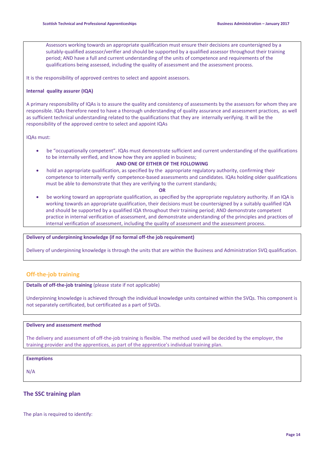Assessors working towards an appropriate qualification must ensure their decisions are countersigned by a suitably-qualified assessor/verifier and should be supported by a qualified assessor throughout their training period; AND have a full and current understanding of the units of competence and requirements of the qualifications being assessed, including the quality of assessment and the assessment process.

It is the responsibility of approved centres to select and appoint assessors.

#### **Internal quality assurer (IQA)**

A primary responsibility of IQAs is to assure the quality and consistency of assessments by the assessors for whom they are responsible. IQAs therefore need to have a thorough understanding of quality assurance and assessment practices, as well as sufficient technical understanding related to the qualifications that they are internally verifying. It will be the responsibility of the approved centre to select and appoint IQAs

IQAs must:

 be "occupationally competent". IQAs must demonstrate sufficient and current understanding of the qualifications to be internally verified, and know how they are applied in business;

#### **AND ONE OF EITHER OF THE FOLLOWING**

 hold an appropriate qualification, as specified by the appropriate regulatory authority, confirming their competence to internally verify competence-based assessments and candidates. IQAs holding older qualifications must be able to demonstrate that they are verifying to the current standards;

#### **OR**

 be working toward an appropriate qualification, as specified by the appropriate regulatory authority. If an IQA is working towards an appropriate qualification, their decisions must be countersigned by a suitably qualified IQA and should be supported by a qualified IQA throughout their training period; AND demonstrate competent practice in internal verification of assessment, and demonstrate understanding of the principles and practices of internal verification of assessment, including the quality of assessment and the assessment process.

#### **Delivery of underpinning knowledge (if no formal off-the job requirement)**

Delivery of underpinning knowledge is through the units that are within the Business and Administration SVQ qualification.

#### **Off-the-job training**

**Details of off-the-job training** (please state if not applicable)

Underpinning knowledge is achieved through the individual knowledge units contained within the SVQs. This component is not separately certificated, but certificated as a part of SVQs.

#### **Delivery and assessment method**

The delivery and assessment of off-the-job training is flexible. The method used will be decided by the employer, the training provider and the apprentices, as part of the apprentice's individual training plan.

#### **Exemptions**

N/A

#### **The SSC training plan**

The plan is required to identify: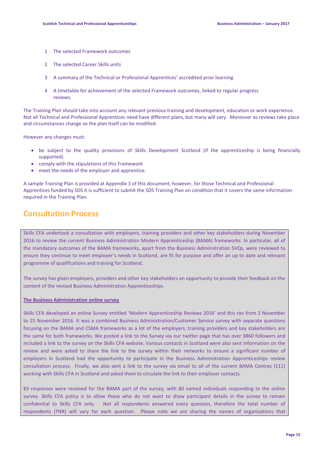- 1 The selected Framework outcomes
- 2 The selected Career Skills units
- 3 A summary of the Technical or Professional Apprentices' accredited prior learning
- 4 A timetable for achievement of the selected Framework outcomes, linked to regular progress reviews.

The Training Plan should take into account any relevant previous training and development, education or work experience. Not all Technical and Professional Apprentices need have different plans, but many will vary. Moreover as reviews take place and circumstances change so the plan itself can be modified.

However any changes must:

- be subject to the quality provisions of Skills Development Scotland (if the apprenticeship is being financially supported)
- comply with the stipulations of this Framework
- meet the needs of the employer and apprentice.

A sample Training Plan is provided at Appendix 3 of this document, however, for those Technical and Professional Apprentices funded by SDS it is sufficient to submit the SDS Training Plan on condition that it covers the same information required in the Training Plan.

## **Consultation Process**

Skills CFA undertook a consultation with employers, training providers and other key stakeholders during November 2016 to review the current Business Administration Modern Apprenticeship (BAMA) frameworks. In particular, all of the mandatory outcomes of the BAMA frameworks, apart from the Business Administration SVQs, were reviewed to ensure they continue to meet employer's needs in Scotland, are fit for purpose and offer an up to date and relevant programme of qualifications and training for Scotland.

The survey has given employers, providers and other key stakeholders an opportunity to provide their feedback on the content of the revised Business Administration Apprenticeships.

#### **The Business Administration online survey**

Skills CFA developed an online Survey entitled '[Modern](http://www.surveymonkey.net/MySurvey_SettingsTitle.aspx?sm=sbfC1HG%2bgorV8D4WfcYZI7wMdvxaOI6dbWQdRbpEkhQ%3d&TB_iframe=true&height=325&width=700) Apprenticeship Reviews 2016' and this ran from 2 November to 25 November 2016. It was a combined Business Administration/Customer Service survey with separate questions focusing on the BAMA and CSMA frameworks as a lot of the employers, training providers and key stakeholders are the same for both frameworks. We posted a link to the Survey via our twitter page that has over 3860 followers and included a link to the survey on the Skills CFA website. Various contacts in Scotland were also sent information on the review and were asked to share the link to the survey within their networks to ensure a significant number of employers in Scotland had the opportunity to participate in the Business Administration Apprenticeships review consultation process. Finally, we also sent a link to the survey via email to all of the current BAMA Centres (111) working with Skills CFA in Scotland and asked them to circulate the link to their employer contacts.

83 responses were received for the BAMA part of the survey, with 80 named individuals responding to the online survey. Skills CFA policy is to allow those who do not want to show participant details in the survey to remain confidential to Skills CFA only. Not all respondents answered every question, therefore the total number of respondents (TNR) will vary for each question. Please note we are sharing the names of organisations that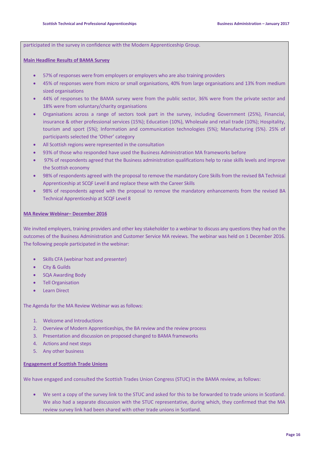participated in the survey in confidence with the Modern Apprenticeship Group.

#### **Main Headline Results of BAMA Survey**

- 57% of responses were from employers or employers who are also training providers
- 45% of responses were from micro or small organisations, 40% from large organisations and 13% from medium sized organisations
- 44% of responses to the BAMA survey were from the public sector, 36% were from the private sector and 18% were from voluntary/charity organisations
- Organisations across a range of sectors took part in the survey, including Government (25%), Financial, insurance & other professional services (15%); Education (10%), Wholesale and retail trade (10%); Hospitality, tourism and sport (5%); Information and communication technologies (5%); Manufacturing (5%). 25% of participants selected the 'Other' category
- All Scottish regions were represented in the consultation
- 93% of those who responded have used the Business Administration MA frameworks before
- 97% of respondents agreed that the Business administration qualifications help to raise skills levels and improve the Scottish economy
- 98% of respondents agreed with the proposal to remove the mandatory Core Skills from the revised BA Technical Apprenticeship at SCQF Level 8 and replace these with the Career Skills
- 98% of respondents agreed with the proposal to remove the mandatory enhancements from the revised BA Technical Apprenticeship at SCQF Level 8

#### **MA Review Webinar– December 2016**

We invited employers, training providers and other key stakeholder to a webinar to discuss any questions they had on the outcomes of the Business Administration and Customer Service MA reviews. The webinar was held on 1 December 2016. The following people participated in the webinar:

- Skills CFA (webinar host and presenter)
- City & Guilds
- SQA Awarding Body
- Tell Organisation
- Learn Direct

The Agenda for the MA Review Webinar was as follows:

- 1. Welcome and Introductions
- 2. Overview of Modern Apprenticeships, the BA review and the review process
- 3. Presentation and discussion on proposed changed to BAMA frameworks
- 4. Actions and next steps
- 5. Any other business

#### **Engagement of Scottish Trade Unions**

We have engaged and consulted the Scottish Trades Union Congress (STUC) in the BAMA review, as follows:

 We sent a copy of the survey link to the STUC and asked for this to be forwarded to trade unions in Scotland. We also had a separate discussion with the STUC representative, during which, they confirmed that the MA review survey link had been shared with other trade unions in Scotland.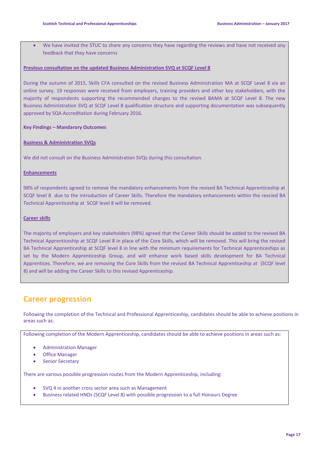We have invited the STUC to share any concerns they have regarding the reviews and have not received any feedback that they have concerns

#### **Previous consultation on the updated Business Administration SVQ at SCQF Level 8**

During the autumn of 2015, Skills CFA consulted on the revised Business Administration MA at SCQF Level 8 via an online survey. 19 responses were received from employers, training providers and other key stakeholders, with the majority of respondents supporting the recommended changes to the revised BAMA at SCQF Level 8. The new Business Administration SVQ at SCQF Level 8 qualification structure and supporting documentation was subsequently approved by SQA Accreditation during February 2016.

#### **Key Findings – Mandarory Outcomes**

#### **Business & Administration SVQs**

We did not consult on the Business Administration SVQs during this consultation.

#### **Enhancements**

98% of respondents agreed to remove the mandatory enhancements from the revised BA Technical Apprenticeship at SCQF level 8 due to the introduction of Career Skills. Therefore the mandatory enhancements within the revsied BA Technical Apprenticeship at SCQF level 8 will be removed.

#### **Career skills**

The majority of employers and key stakeholders (98%) agreed that the Career Skills should be added to the revised BA Technical Apprenticeship at SCQF Level 8 in place of the Core Skills, which will be removed. This will bring the revised BA Technical Apprenticeship at SCQF level 8 in line with the minimum requirements for Technical Apprenticeships as set by the Modern Apprenticeship Group, and will enhance work based skills development for BA Technical Apprentices. Therefore, we are removing the Core Skills from the revised BA Technical Apprenticeship at (SCQF level 8) and will be adding the Career Skills to this revised Apprenticeship.

## **Career progression**

Following the completion of the Technical and Professional Apprenticeship, candidates should be able to achieve positions in areas such as:

Following completion of the Modern Apprenticeship, candidates should be able to achieve positions in areas such as:

- Administration Manager
- Office Manager
- Senior Secretary

There are various possible progression routes from the Modern Apprenticeship, including:

- SVQ 4 in another cross sector area such as Management
- Business related HNDs (SCQF Level 8) with possible progression to a full Honours Degree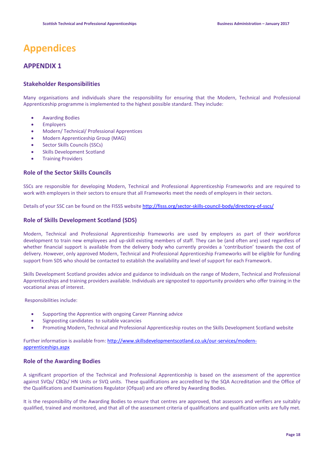# **Appendices**

## **APPENDIX 1**

#### **Stakeholder Responsibilities**

Many organisations and individuals share the responsibility for ensuring that the Modern, Technical and Professional Apprenticeship programme is implemented to the highest possible standard. They include:

- Awarding Bodies
- Employers
- Modern/ Technical/ Professional Apprentices
- Modern Apprenticeship Group (MAG)
- Sector Skills Councils (SSCs)
- Skills Development Scotland
- Training Providers

#### **Role of the Sector Skills Councils**

SSCs are responsible for developing Modern, Technical and Professional Apprenticeship Frameworks and are required to work with employers in their sectors to ensure that all Frameworks meet the needs of employers in their sectors.

Details of your SSC can be found on the FISSS website <http://fisss.org/sector-skills-council-body/directory-of-sscs/>

#### **Role of Skills Development Scotland (SDS)**

Modern, Technical and Professional Apprenticeship frameworks are used by employers as part of their workforce development to train new employees and up-skill existing members of staff. They can be (and often are) used regardless of whether financial support is available from the delivery body who currently provides a 'contribution' towards the cost of delivery. However, only approved Modern, Technical and Professional Apprenticeship Frameworks will be eligible for funding support from SDS who should be contacted to establish the availability and level of support for each Framework.

Skills Development Scotland provides advice and guidance to individuals on the range of Modern, Technical and Professional Apprenticeships and training providers available. Individuals are signposted to opportunity providers who offer training in the vocational areas of interest.

Responsibilities include:

- Supporting the Apprentice with ongoing Career Planning advice
- Signposting candidates to suitable vacancies
- Promoting Modern, Technical and Professional Apprenticeship routes on the Skills Development Scotland website

Further information is available from[: http://www.skillsdevelopmentscotland.co.uk/our-services/modern](http://www.skillsdevelopmentscotland.co.uk/our-services/modern-apprenticeships.aspx)[apprenticeships.aspx](http://www.skillsdevelopmentscotland.co.uk/our-services/modern-apprenticeships.aspx)

#### **Role of the Awarding Bodies**

A significant proportion of the Technical and Professional Apprenticeship is based on the assessment of the apprentice against SVQs/ CBQs/ HN Units or SVQ units. These qualifications are accredited by the SQA Accreditation and the Office of the Qualifications and Examinations Regulator (Ofqual) and are offered by Awarding Bodies.

It is the responsibility of the Awarding Bodies to ensure that centres are approved, that assessors and verifiers are suitably qualified, trained and monitored, and that all of the assessment criteria of qualifications and qualification units are fully met.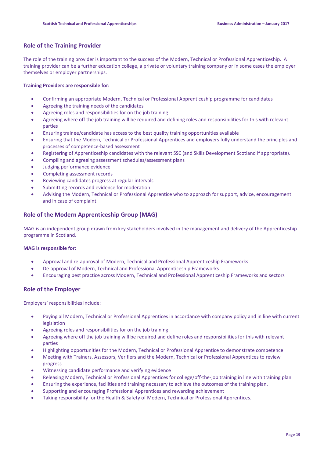#### **Role of the Training Provider**

The role of the training provider is important to the success of the Modern, Technical or Professional Apprenticeship. A training provider can be a further education college, a private or voluntary training company or in some cases the employer themselves or employer partnerships.

#### **Training Providers are responsible for:**

- Confirming an appropriate Modern, Technical or Professional Apprenticeship programme for candidates
- Agreeing the training needs of the candidates
- Agreeing roles and responsibilities for on the job training
- Agreeing where off the job training will be required and defining roles and responsibilities for this with relevant parties
- Ensuring trainee/candidate has access to the best quality training opportunities available
- Ensuring that the Modern, Technical or Professional Apprentices and employers fully understand the principles and processes of competence-based assessment
- Registering of Apprenticeship candidates with the relevant SSC (and Skills Development Scotland if appropriate).
- Compiling and agreeing assessment schedules/assessment plans
- Judging performance evidence
- Completing assessment records
- Reviewing candidates progress at regular intervals
- Submitting records and evidence for moderation
- Advising the Modern, Technical or Professional Apprentice who to approach for support, advice, encouragement and in case of complaint

#### **Role of the Modern Apprenticeship Group (MAG)**

MAG is an independent group drawn from key stakeholders involved in the management and delivery of the Apprenticeship programme in Scotland.

#### **MAG is responsible for:**

- Approval and re-approval of Modern, Technical and Professional Apprenticeship Frameworks
- De-approval of Modern, Technical and Professional Apprenticeship Frameworks
- Encouraging best practice across Modern, Technical and Professional Apprenticeship Frameworks and sectors

#### **Role of the Employer**

Employers' responsibilities include:

- Paying all Modern, Technical or Professional Apprentices in accordance with company policy and in line with current legislation
- Agreeing roles and responsibilities for on the job training
- Agreeing where off the job training will be required and define roles and responsibilities for this with relevant parties
- Highlighting opportunities for the Modern, Technical or Professional Apprentice to demonstrate competence
- Meeting with Trainers, Assessors, Verifiers and the Modern, Technical or Professional Apprentices to review progress
- Witnessing candidate performance and verifying evidence
- Releasing Modern, Technical or Professional Apprentices for college/off-the-job training in line with training plan
- Ensuring the experience, facilities and training necessary to achieve the outcomes of the training plan.
- Supporting and encouraging Professional Apprentices and rewarding achievement
- Taking responsibility for the Health & Safety of Modern, Technical or Professional Apprentices.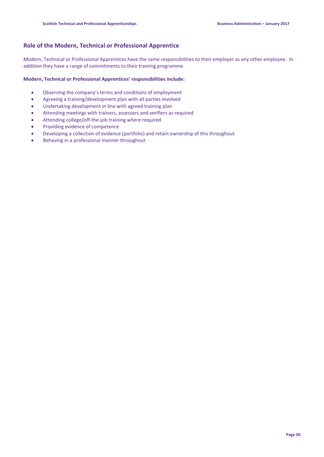#### **Role of the Modern, Technical or Professional Apprentice**

Modern, Technical or Professional Apprentices have the same responsibilities to their employer as any other employee. In addition they have a range of commitments to their training programme.

#### **Modern, Technical or Professional Apprentices' responsibilities include:**

- Observing the company's terms and conditions of employment
- Agreeing a training/development plan with all parties involved
- Undertaking development in line with agreed training plan
- Attending meetings with trainers, assessors and verifiers as required
- Attending college/off-the-job training where required
- Providing evidence of competence
- Developing a collection of evidence (portfolio) and retain ownership of this throughout
- Behaving in a professional manner throughout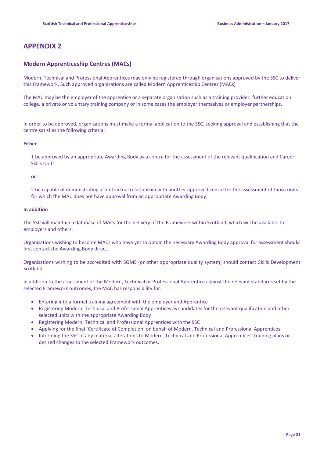## **APPENDIX 2**

#### **Modern Apprenticeship Centres (MACs)**

Modern, Technical and Professional Apprentices may only be registered through organisations approved by the SSC to deliver this Framework. Such approved organisations are called Modern Apprenticeship Centres (MACs)

The MAC may be the employer of the apprentice or a separate organisation such as a training provider, further education college, a private or voluntary training company or in some cases the employer themselves or employer partnerships.

In order to be approved, organisations must make a formal application to the SSC, seeking approval and establishing that the centre satisfies the following criteria:

#### **Either**

1 be approved by an appropriate Awarding Body as a centre for the assessment of the relevant qualification and Career Skills Units

#### **or**

2 be capable of demonstrating a contractual relationship with another approved centre for the assessment of those units for which the MAC does not have approval from an appropriate Awarding Body.

#### **In addition**

The SSC will maintain a database of MACs for the delivery of the Framework within Scotland, which will be available to employers and others.

Organisations wishing to become MACs who have yet to obtain the necessary Awarding Body approval for assessment should first contact the Awarding Body direct.

Organisations wishing to be accredited with SQMS (or other appropriate quality system) should contact Skills Development Scotland.

In addition to the assessment of the Modern, Technical or Professional Apprentice against the relevant standards set by the selected Framework outcomes, the MAC has responsibility for:

- Entering into a formal training agreement with the employer and Apprentice
- Registering Modern, Technical and Professional Apprentices as candidates for the relevant qualification and other selected units with the appropriate Awarding Body
- Registering Modern, Technical and Professional Apprentices with the SSC
- Applying for the final `Certificate of Completion' on behalf of Modern, Technical and Professional Apprentices
- Informing the SSC of any material alterations to Modern, Technical and Professional Apprentices' training plans or desired changes to the selected Framework outcomes.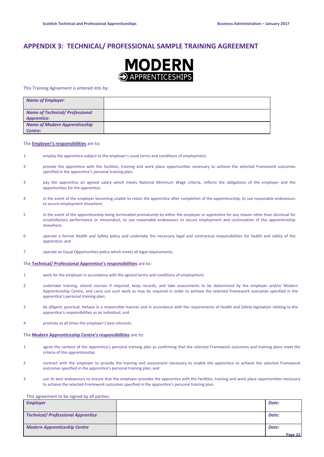## **APPENDIX 3: TECHNICAL/ PROFESSIONAL SAMPLE TRAINING AGREEMENT**



This Training Agreement is entered into by:

| <b>Name of Employer:</b>                                     |  |
|--------------------------------------------------------------|--|
| <b>Name of Technical/ Professional</b><br><b>Apprentice:</b> |  |
| <b>Name of Modern Apprenticeship</b><br>Centre:              |  |

#### The **Employer's responsibilities** are to:

- 1 employ the apprentice subject to the employer's usual terms and conditions of employment;
- 2 provide the apprentice with the facilities, training and work place opportunities necessary to achieve the selected Framework outcomes specified in the apprentice's personal training plan;
- 3 pay the apprentice an agreed salary which meets National Minimum Wage criteria, reflects the obligations of the employer and the opportunities for the apprentice;
- 4 in the event of the employer becoming unable to retain the apprentice after completion of the apprenticeship, to use reasonable endeavours to secure employment elsewhere;
- 5 in the event of the apprenticeship being terminated prematurely by either the employer or apprentice for any reason other than dismissal for unsatisfactory performance or misconduct, to use reasonable endeavours to secure employment and continuation of this apprenticeship elsewhere;
- 6 operate a formal Health and Safety policy and undertake the necessary legal and contractual responsibilities for health and safety of the apprentice; and
- 7 operate an Equal Opportunities policy which meets all legal requirements.

#### The **Technical/ Professional Apprentice's responsibilities** are to:

- 1 work for the employer in accordance with the agreed terms and conditions of employment;
- 2 undertake training, attend courses if required, keep records, and take assessments to be determined by the employer and/or Modern Apprenticeship Centre, and carry out such work as may be required in order to achieve the selected Framework outcomes specified in the apprentice's personal training plan;
- 3 be diligent, punctual, behave in a responsible manner and in accordance with the requirements of Health and Safety legislation relating to the apprentice's responsibilities as an individual; and
- 4 promote at all times the employer's best interests.

#### The **Modern Apprenticeship Centre's responsibilities** are to:

- 1 agree the content of the apprentice's personal training plan as confirming that the selected Framework outcomes and training plans meet the criteria of this apprenticeship
- 2 contract with the employer to provide the training and assessment necessary to enable the apprentice to achieve the selected Framework outcomes specified in the apprentice's personal training plan; and
- 3 use its best endeavours to ensure that the employer provides the apprentice with the facilities, training and work place opportunities necessary to achieve the selected Framework outcomes specified in the apprentice's personal training plan.

#### This agreement to be signed by all parties:

| <b>Employer</b>                           | Date:   |
|-------------------------------------------|---------|
|                                           |         |
| <b>Technical/ Professional Apprentice</b> | Date:   |
| <b>Modern Apprenticeship Centre</b>       | Date:   |
|                                           | Page 22 |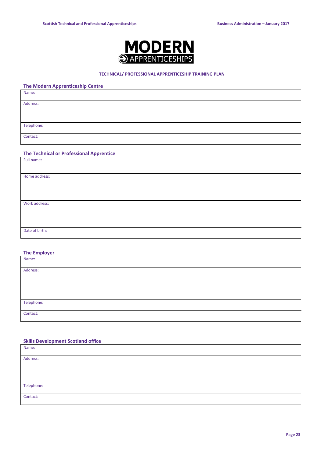

#### **TECHNICAL/ PROFESSIONAL APPRENTICESHIP TRAINING PLAN**

#### **The Modern Apprenticeship Centre**

| Name:      |  |
|------------|--|
| Address:   |  |
|            |  |
|            |  |
| Telephone: |  |
| Contact:   |  |

#### **The Technical or Professional Apprentice**

| Full name:     |  |
|----------------|--|
|                |  |
| Home address:  |  |
|                |  |
|                |  |
|                |  |
| Work address:  |  |
|                |  |
|                |  |
|                |  |
| Date of birth: |  |
|                |  |

#### **The Employer**

| Name:      |  |
|------------|--|
| Address:   |  |
|            |  |
|            |  |
|            |  |
| Telephone: |  |
| Contact:   |  |

#### **Skills Development Scotland office**

| Name:      |  |
|------------|--|
| Address:   |  |
|            |  |
|            |  |
| Telephone: |  |
| Contact:   |  |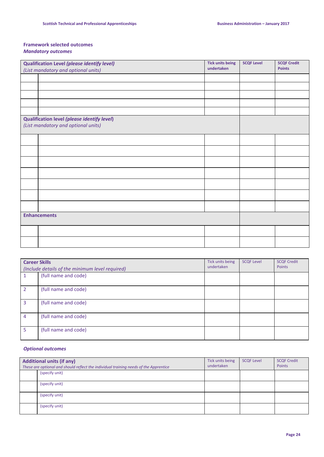#### **Framework selected outcomes** *Mandatory outcomes*

| <b>Qualification Level (please identify level)</b>                                 | <b>Tick units being</b><br>undertaken | <b>SCQF Level</b> | <b>SCQF Credit</b><br><b>Points</b> |
|------------------------------------------------------------------------------------|---------------------------------------|-------------------|-------------------------------------|
| (List mandatory and optional units)                                                |                                       |                   |                                     |
|                                                                                    |                                       |                   |                                     |
|                                                                                    |                                       |                   |                                     |
|                                                                                    |                                       |                   |                                     |
|                                                                                    |                                       |                   |                                     |
|                                                                                    |                                       |                   |                                     |
| Qualification level (please identify level)<br>(List mandatory and optional units) |                                       |                   |                                     |
|                                                                                    |                                       |                   |                                     |
|                                                                                    |                                       |                   |                                     |
|                                                                                    |                                       |                   |                                     |
|                                                                                    |                                       |                   |                                     |
|                                                                                    |                                       |                   |                                     |
|                                                                                    |                                       |                   |                                     |
|                                                                                    |                                       |                   |                                     |
| <b>Enhancements</b>                                                                |                                       |                   |                                     |
|                                                                                    |                                       |                   |                                     |
|                                                                                    |                                       |                   |                                     |

| <b>Career Skills</b> | (Include details of the minimum level required) | Tick units being<br>undertaken | <b>SCQF Level</b> | <b>SCQF Credit</b><br>Points |
|----------------------|-------------------------------------------------|--------------------------------|-------------------|------------------------------|
|                      | (full name and code)                            |                                |                   |                              |
| $\overline{2}$       | (full name and code)                            |                                |                   |                              |
| 3                    | (full name and code)                            |                                |                   |                              |
| $\overline{4}$       | (full name and code)                            |                                |                   |                              |
| 5                    | (full name and code)                            |                                |                   |                              |

#### *Optional outcomes*

| <b>Additional units (if any)</b><br>These are optional and should reflect the individual training needs of the Apprentice | Tick units being<br>undertaken | <b>SCQF Level</b> | <b>SCQF Credit</b><br>Points |
|---------------------------------------------------------------------------------------------------------------------------|--------------------------------|-------------------|------------------------------|
| (specify unit)                                                                                                            |                                |                   |                              |
| (specify unit)                                                                                                            |                                |                   |                              |
| (specify unit)                                                                                                            |                                |                   |                              |
| (specify unit)                                                                                                            |                                |                   |                              |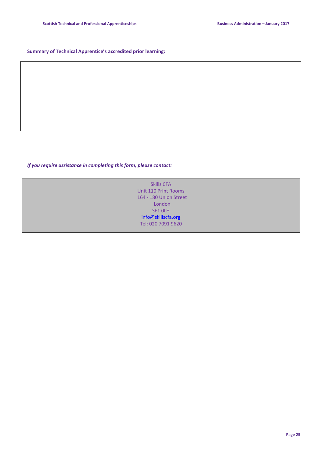#### **Summary of Technical Apprentice's accredited prior learning:**

*If you require assistance in completing this form, please contact:*

Skills CFA Unit 110 Print Rooms 164 - 180 Union Street London SE1 0LH [info@skillscfa.org](../BA%20Review%202016/AppData/Local/d.forbes/AppData/Local/Microsoft/Windows/Temporary%20Internet%20Files/Content.Outlook/Y95JPXPU/info@skillscfa.org) Tel: 020 7091 9620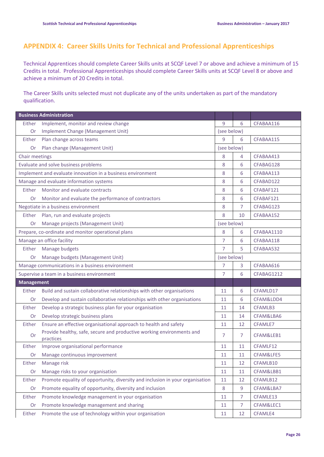## **APPENDIX 4: Career Skills Units for Technical and Professional Apprenticeships**

Technical Apprentices should complete Career Skills units at SCQF Level 7 or above and achieve a minimum of 15 Credits in total. Professional Apprenticeships should complete Career Skills units at SCQF Level 8 or above and achieve a minimum of 20 Credits in total.

The Career Skills units selected must not duplicate any of the units undertaken as part of the mandatory qualification.

|                                                 | <b>Business Administration</b>                                                     |                |                |            |  |
|-------------------------------------------------|------------------------------------------------------------------------------------|----------------|----------------|------------|--|
| Either                                          | Implement, monitor and review change                                               | 9              | 6              | CFABAA116  |  |
| Or                                              | Implement Change (Management Unit)                                                 | (see below)    |                |            |  |
| Either                                          | Plan change across teams                                                           | 9              | 6              | CFABAA115  |  |
| Plan change (Management Unit)<br>Or             |                                                                                    | (see below)    |                |            |  |
| Chair meetings                                  |                                                                                    | 8              | 4              | CFABAA413  |  |
|                                                 | Evaluate and solve business problems                                               | 8              | 6              | CFABAG128  |  |
|                                                 | Implement and evaluate innovation in a business environment                        | 8              | 6              | CFABAA113  |  |
|                                                 | Manage and evaluate information systems                                            | 8              | 6              | CFABAD122  |  |
| Either                                          | Monitor and evaluate contracts                                                     | 8              | 6              | CFABAF121  |  |
| Or                                              | Monitor and evaluate the performance of contractors                                | 8              | 6              | CFABAF121  |  |
|                                                 | Negotiate in a business environment                                                | 8              | 7              | CFABAG123  |  |
| Either                                          | Plan, run and evaluate projects                                                    | 8              | 10             | CFABAA152  |  |
| Or                                              | Manage projects (Management Unit)                                                  | (see below)    |                |            |  |
|                                                 | Prepare, co-ordinate and monitor operational plans                                 | 8              | 6              | CFABAA1110 |  |
|                                                 | Manage an office facility                                                          | $\overline{7}$ | 6              | CFABAA118  |  |
| Either                                          | Manage budgets                                                                     | $\overline{7}$ | 5              | CFABAA532  |  |
| Or                                              | Manage budgets (Management Unit)                                                   |                | (see below)    |            |  |
| Manage communications in a business environment |                                                                                    | $\overline{7}$ | 3              | CFABAA616  |  |
| Supervise a team in a business environment      |                                                                                    | 7              | 6              | CFABAG1212 |  |
| <b>Management</b>                               |                                                                                    |                |                |            |  |
| Either                                          | Build and sustain collaborative relationships with other organisations             | 11             | 6              | CFAMLD17   |  |
| Or                                              | Develop and sustain collaborative relationships with other organisations           | 11             | 6              | CFAM&LDD4  |  |
| Either                                          | Develop a strategic business plan for your organisation                            | 11             | 14             | CFAMLB3    |  |
| Or                                              | Develop strategic business plans                                                   | 11             | 14             | CFAM&LBA6  |  |
| Either                                          | Ensure an effective organisational approach to health and safety                   | 11             | 12             | CFAMLE7    |  |
| <b>Or</b>                                       | Provide healthy, safe, secure and productive working environments and<br>practices | 7              | 7              | CFAM&LEB1  |  |
| Either                                          | Improve organisational performance                                                 | 11             | 11             | CFAMLF12   |  |
| Or                                              | Manage continuous improvement                                                      | 11             | 11             | CFAM&LFE5  |  |
| Either                                          | Manage risk                                                                        | 11             | 12             | CFAMLB10   |  |
| Or                                              | Manage risks to your organisation                                                  | 11             | 11             | CFAM&LBB1  |  |
| Either                                          | Promote equality of opportunity, diversity and inclusion in your organisation      | 11             | 12             | CFAMLB12   |  |
| Or                                              | Promote equality of opportunity, diversity and inclusion                           | $\,8\,$        | 9              | CFAM&LBA7  |  |
| Either                                          | Promote knowledge management in your organisation                                  | 11             | $\overline{7}$ | CFAMLE13   |  |
| Or                                              | Promote knowledge management and sharing                                           | 11             | $\overline{7}$ | CFAM&LEC1  |  |
| Either                                          | Promote the use of technology within your organisation                             | 11             | 12             | CFAMLE4    |  |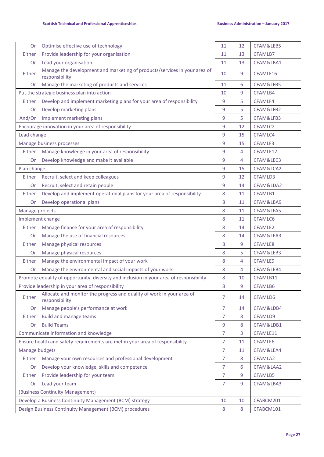| <b>Or</b>       | Optimise effective use of technology                                                        | 11             | 12              | CFAM&LEB5           |  |
|-----------------|---------------------------------------------------------------------------------------------|----------------|-----------------|---------------------|--|
| Either          | Provide leadership for your organisation                                                    | 11             | 13              | CFAMLB7             |  |
| <b>Or</b>       | Lead your organisation                                                                      | 11             | 13<br>CFAM&LBA1 |                     |  |
| Either          | Manage the development and marketing of products/services in your area of<br>responsibility | 10             | 9               | CFAMLF16            |  |
| Or              | Manage the marketing of products and services                                               | 11             | 6               | CFAM&LFB5           |  |
|                 | Put the strategic business plan into action                                                 | 10             | 9               | CFAMLB4             |  |
| Either          | Develop and implement marketing plans for your area of responsibility                       | 9              | 5               | CFAMLF4             |  |
| Or              | Develop marketing plans                                                                     | 9              | 5               | CFAM&LFB2           |  |
| And/Or          | Implement marketing plans                                                                   | 9              | 5               | CFAM&LFB3           |  |
|                 | Encourage innovation in your area of responsibility                                         | 9              | 12              | CFAMLC2             |  |
| Lead change     |                                                                                             | 9              | 15              | CFAMLC4             |  |
|                 | Manage business processes                                                                   | 9              | 15              | CFAMLF3             |  |
| Either          | Manage knowledge in your area of responsibility                                             | 9              | 4               | CFAMLE12            |  |
| Or              | Develop knowledge and make it available                                                     | 9              | 4               | CFAM&LEC3           |  |
| Plan change     |                                                                                             | 9              | 15              | CFAM&LCA2           |  |
| Either          | Recruit, select and keep colleagues                                                         | 9              | 12              | CFAMLD3             |  |
| Or              | Recruit, select and retain people                                                           | 9              | 14              | CFAM&LDA2           |  |
| Either          | Develop and implement operational plans for your area of responsibility                     | 8              | 11              | CFAMLB1             |  |
| Or              | Develop operational plans                                                                   | 8              | 11              | CFAM&LBA9           |  |
| Manage projects |                                                                                             | 8              | 11              | CFAM&LFA5           |  |
|                 | Implement change                                                                            | 8              | 11              | CFAMLC6             |  |
| Either          | Manage finance for your area of responsibility                                              | 8              | 14              | CFAMLE <sub>2</sub> |  |
| Or              | Manage the use of financial resources                                                       | 8              | 14              | CFAM&LEA3           |  |
| Either          | Manage physical resources                                                                   | 8              | 9               | CFAMLE8             |  |
| Or              | Manage physical resources                                                                   | 8              | 5               | CFAM&LEB3           |  |
| Either          | Manage the environmental impact of your work                                                | 8              | 4               | CFAMLE9             |  |
| Or              | Manage the environmental and social impacts of your work                                    | 8              | 4               | CFAM&LEB4           |  |
|                 | Promote equality of opportunity, diversity and inclusion in your area of responsibility     | 8              | 10              | CFAMLB11            |  |
|                 | Provide leadership in your area of responsibility                                           | 8              | 9               | CFAMLB6             |  |
| Either          | Allocate and monitor the progress and quality of work in your area of<br>responsibility     | 7              | 14              | CFAMLD6             |  |
| <b>Or</b>       | Manage people's performance at work                                                         | $\overline{7}$ | 14              | CFAM&LDB4           |  |
| Either          | <b>Build and manage teams</b>                                                               | 7              | 8               | CFAMLD9             |  |
| Or              | <b>Build Teams</b>                                                                          | 9              | 8               | CFAM&LDB1           |  |
|                 | Communicate information and knowledge                                                       | $\overline{7}$ | 3               | CFAMLE11            |  |
|                 | Ensure health and safety requirements are met in your area of responsibility                |                | 11              | CFAMLE6             |  |
| Manage budgets  |                                                                                             | 7              | 11              | CFAM&LEA4           |  |
| Either          | Manage your own resources and professional development                                      | 7              | 8               | CFAMLA2             |  |
| Or              | Develop your knowledge, skills and competence                                               | $\overline{7}$ | 6               | CFAM&LAA2           |  |
| Either          | Provide leadership for your team                                                            | $\overline{7}$ | 9               | CFAMLB5             |  |
| Or              | Lead your team                                                                              | 7              | 9               | CFAM&LBA3           |  |
|                 | (Business Continuity Management)                                                            |                |                 |                     |  |
|                 | Develop a Business Continuity Management (BCM) strategy                                     | 10             | 10              | CFABCM201           |  |
|                 | Design Business Continuity Management (BCM) procedures                                      | 8              | 8               | CFABCM101           |  |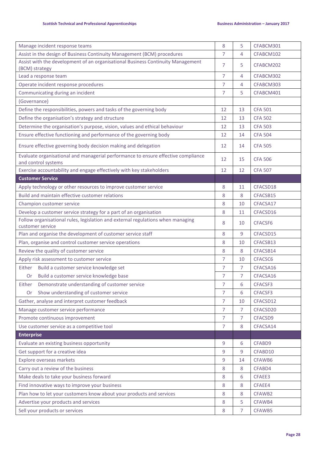| Manage incident response teams                                                                           | 8              | 5              | CFABCM301      |
|----------------------------------------------------------------------------------------------------------|----------------|----------------|----------------|
| Assist in the design of Business Continuity Management (BCM) procedures                                  | 7              | 4              | CFABCM102      |
| Assist with the development of an organisational Business Continuity Management<br>(BCM) strategy        | 7              | 5              | CFABCM202      |
| Lead a response team                                                                                     | 7              | 4              | CFABCM302      |
| Operate incident response procedures                                                                     | 7              | 4              | CFABCM303      |
| Communicating during an incident                                                                         | 7              | 5              | CFABCM401      |
| (Governance)                                                                                             |                |                |                |
| Define the responsibilities, powers and tasks of the governing body                                      | 12             | 13             | <b>CFA 501</b> |
| Define the organisation's strategy and structure                                                         | 12             | 13             | <b>CFA 502</b> |
| Determine the organisation's purpose, vision, values and ethical behaviour                               | 12             | 13             | <b>CFA 503</b> |
| Ensure effective functioning and performance of the governing body                                       | 12             | 14             | <b>CFA 504</b> |
| Ensure effective governing body decision making and delegation                                           | 12             | 14             | <b>CFA 505</b> |
| Evaluate organisational and managerial performance to ensure effective compliance<br>and control systems | 12             | 15             | <b>CFA 506</b> |
| Exercise accountability and engage effectively with key stakeholders                                     | 12             | 12             | <b>CFA 507</b> |
| <b>Customer Service</b>                                                                                  |                |                |                |
| Apply technology or other resources to improve customer service                                          | 8              | 11             | CFACSD18       |
| Build and maintain effective customer relations                                                          | 8              | 8              | CFACSB15       |
| Champion customer service                                                                                | 8              | 10             | CFACSA17       |
| Develop a customer service strategy for a part of an organisation                                        | 8              | 11             | CFACSD16       |
| Follow organisational rules, legislation and external regulations when managing<br>customer service      | 8              | 10             | CFACSF6        |
| Plan and organise the development of customer service staff                                              | 8              | 9              | CFACSD15       |
| Plan, organise and control customer service operations                                                   | 8              | 10             | CFACSB13       |
| Review the quality of customer service                                                                   | 8              | 8              | CFACSB14       |
| Apply risk assessment to customer service                                                                | 7              | 10             | CFACSC6        |
| Build a customer service knowledge set<br>Either                                                         | 7              | 7              | CFACSA16       |
| Build a customer service knowledge base<br>Or                                                            | 7              | $\overline{7}$ | CFACSA16       |
| Demonstrate understanding of customer service<br>Either                                                  | 7              | 6              | CFACSF3        |
| Show understanding of customer service<br>Or.                                                            | 7              | 6              | CFACSF3        |
| Gather, analyse and interpret customer feedback                                                          | $\overline{7}$ | 10             | CFACSD12       |
| Manage customer service performance                                                                      | 7              | 7              | CFACSD20       |
| Promote continuous improvement                                                                           | 7              | 7              | CFACSD9        |
| Use customer service as a competitive tool                                                               | 7              | 8              | CFACSA14       |
| <b>Enterprise</b>                                                                                        |                |                |                |
| Evaluate an existing business opportunity                                                                | 9              | 6              | CFABD9         |
| Get support for a creative idea                                                                          | 9              | 9              | CFABD10        |
| Explore overseas markets                                                                                 | 9              | 14             | CFAWB6         |
| Carry out a review of the business                                                                       | 8              | 8              | CFABD4         |
| Make deals to take your business forward                                                                 | 8              | 6              | CFAEE3         |
| Find innovative ways to improve your business                                                            | 8              | 8              | CFAEE4         |
| Plan how to let your customers know about your products and services                                     | 8              | 8              | CFAWB2         |
| Advertise your products and services                                                                     | 8              | 5              | CFAWB4         |
| Sell your products or services                                                                           | 8              | 7              | CFAWB5         |